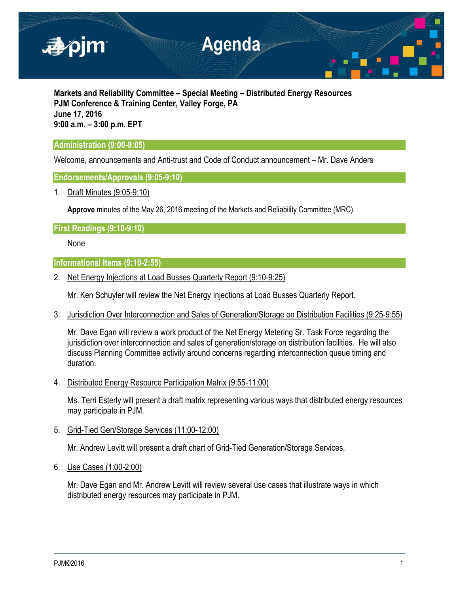

**Markets and Reliability Committee – Special Meeting – Distributed Energy Resources PJM Conference & Training Center, Valley Forge, PA June 17, 2016 9:00 a.m. – 3:00 p.m. EPT**

# **Administration (9:00-9:05)**

Welcome, announcements and Anti-trust and Code of Conduct announcement – Mr. Dave Anders

## **Endorsements/Approvals (9:05-9:10)**

1. Draft Minutes (9:05-9:10)

**Approve** minutes of the May 26, 2016 meeting of the Markets and Reliability Committee (MRC).

## **First Readings (9:10-9:10)**

None

## **Informational Items (9:10-2:55)**

2. Net Energy Injections at Load Busses Quarterly Report (9:10-9:25)

Mr. Ken Schuyler will review the Net Energy Injections at Load Busses Quarterly Report.

3. Jurisdiction Over Interconnection and Sales of Generation/Storage on Distribution Facilities (9:25-9:55)

Mr. Dave Egan will review a work product of the Net Energy Metering Sr. Task Force regarding the jurisdiction over interconnection and sales of generation/storage on distribution facilities. He will also discuss Planning Committee activity around concerns regarding interconnection queue timing and duration.

4. Distributed Energy Resource Participation Matrix (9:55-11:00)

Ms. Terri Esterly will present a draft matrix representing various ways that distributed energy resources may participate in PJM.

5. Grid-Tied Gen/Storage Services (11:00-12:00)

Mr. Andrew Levitt will present a draft chart of Grid-Tied Generation/Storage Services.

6. Use Cases (1:00-2:00)

Mr. Dave Egan and Mr. Andrew Levitt will review several use cases that illustrate ways in which distributed energy resources may participate in PJM.